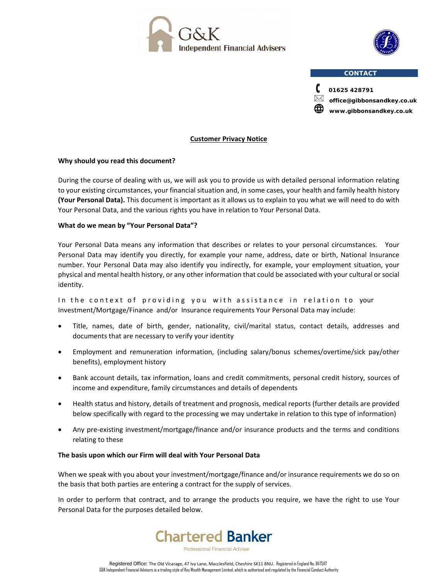



#### **CONTACT**



 **office@gibbonsandkey.co.uk www.gibbonsandkey.co.uk**

#### **Customer Privacy Notice**

# **Why should you read this document?**

During the course of dealing with us, we will ask you to provide us with detailed personal information relating to your existing circumstances, your financial situation and, in some cases, your health and family health history **(Your Personal Data).** This document is important as it allows us to explain to you what we will need to do with Your Personal Data, and the various rights you have in relation to Your Personal Data.

## **What do we mean by "Your Personal Data"?**

Your Personal Data means any information that describes or relates to your personal circumstances. Your Personal Data may identify you directly, for example your name, address, date or birth, National Insurance number. Your Personal Data may also identify you indirectly, for example, your employment situation, your physical and mental health history, or any other information that could be associated with your cultural or social identity.

In the context of providing you with assistance in relation to your Investment/Mortgage/Finance and/or Insurance requirements Your Personal Data may include:

- Title, names, date of birth, gender, nationality, civil/marital status, contact details, addresses and documents that are necessary to verify your identity
- Employment and remuneration information, (including salary/bonus schemes/overtime/sick pay/other benefits), employment history
- Bank account details, tax information, loans and credit commitments, personal credit history, sources of income and expenditure, family circumstances and details of dependents
- Health status and history, details of treatment and prognosis, medical reports (further details are provided below specifically with regard to the processing we may undertake in relation to this type of information)
- Any pre‐existing investment/mortgage/finance and/or insurance products and the terms and conditions relating to these

## **The basis upon which our Firm will deal with Your Personal Data**

When we speak with you about your investment/mortgage/finance and/or insurance requirements we do so on the basis that both parties are entering a contract for the supply of services.

In order to perform that contract, and to arrange the products you require, we have the right to use Your Personal Data for the purposes detailed below.

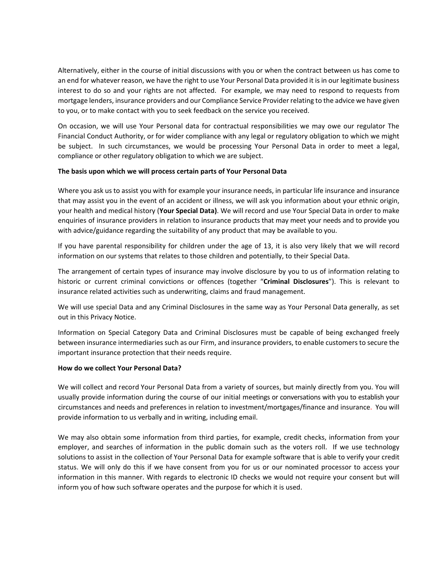Alternatively, either in the course of initial discussions with you or when the contract between us has come to an end for whatever reason, we have the right to use Your Personal Data provided it is in our legitimate business interest to do so and your rights are not affected. For example, we may need to respond to requests from mortgage lenders, insurance providers and our Compliance Service Provider relating to the advice we have given to you, or to make contact with you to seek feedback on the service you received.

On occasion, we will use Your Personal data for contractual responsibilities we may owe our regulator The Financial Conduct Authority, or for wider compliance with any legal or regulatory obligation to which we might be subject. In such circumstances, we would be processing Your Personal Data in order to meet a legal, compliance or other regulatory obligation to which we are subject.

#### **The basis upon which we will process certain parts of Your Personal Data**

Where you ask us to assist you with for example your insurance needs, in particular life insurance and insurance that may assist you in the event of an accident or illness, we will ask you information about your ethnic origin, your health and medical history (**Your Special Data)**. We will record and use Your Special Data in order to make enquiries of insurance providers in relation to insurance products that may meet your needs and to provide you with advice/guidance regarding the suitability of any product that may be available to you.

If you have parental responsibility for children under the age of 13, it is also very likely that we will record information on our systems that relates to those children and potentially, to their Special Data.

The arrangement of certain types of insurance may involve disclosure by you to us of information relating to historic or current criminal convictions or offences (together "**Criminal Disclosures**"). This is relevant to insurance related activities such as underwriting, claims and fraud management.

We will use special Data and any Criminal Disclosures in the same way as Your Personal Data generally, as set out in this Privacy Notice.

Information on Special Category Data and Criminal Disclosures must be capable of being exchanged freely between insurance intermediaries such as our Firm, and insurance providers, to enable customers to secure the important insurance protection that their needs require.

#### **How do we collect Your Personal Data?**

We will collect and record Your Personal Data from a variety of sources, but mainly directly from you. You will usually provide information during the course of our initial meetings or conversations with you to establish your circumstances and needs and preferences in relation to investment/mortgages/finance and insurance. You will provide information to us verbally and in writing, including email.

We may also obtain some information from third parties, for example, credit checks, information from your employer, and searches of information in the public domain such as the voters roll. If we use technology solutions to assist in the collection of Your Personal Data for example software that is able to verify your credit status. We will only do this if we have consent from you for us or our nominated processor to access your information in this manner. With regards to electronic ID checks we would not require your consent but will inform you of how such software operates and the purpose for which it is used.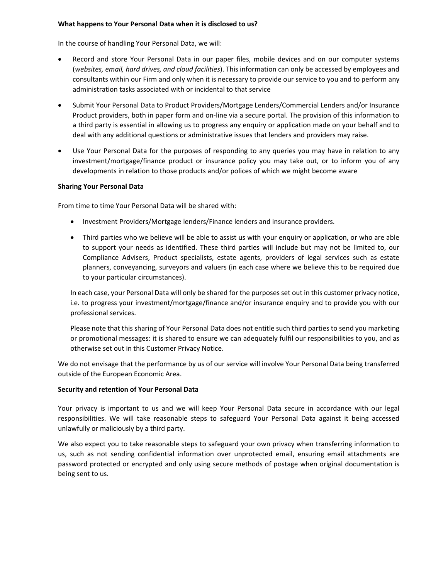## **What happens to Your Personal Data when it is disclosed to us?**

In the course of handling Your Personal Data, we will:

- Record and store Your Personal Data in our paper files, mobile devices and on our computer systems (*websites, email, hard drives, and cloud facilities*). This information can only be accessed by employees and consultants within our Firm and only when it is necessary to provide our service to you and to perform any administration tasks associated with or incidental to that service
- Submit Your Personal Data to Product Providers/Mortgage Lenders/Commercial Lenders and/or Insurance Product providers, both in paper form and on‐line via a secure portal. The provision of this information to a third party is essential in allowing us to progress any enquiry or application made on your behalf and to deal with any additional questions or administrative issues that lenders and providers may raise.
- Use Your Personal Data for the purposes of responding to any queries you may have in relation to any investment/mortgage/finance product or insurance policy you may take out, or to inform you of any developments in relation to those products and/or polices of which we might become aware

#### **Sharing Your Personal Data**

From time to time Your Personal Data will be shared with:

- Investment Providers/Mortgage lenders/Finance lenders and insurance providers.
- Third parties who we believe will be able to assist us with your enquiry or application, or who are able to support your needs as identified. These third parties will include but may not be limited to, our Compliance Advisers, Product specialists, estate agents, providers of legal services such as estate planners, conveyancing, surveyors and valuers (in each case where we believe this to be required due to your particular circumstances).

In each case, your Personal Data will only be shared for the purposes set out in this customer privacy notice, i.e. to progress your investment/mortgage/finance and/or insurance enquiry and to provide you with our professional services.

Please note that this sharing of Your Personal Data does not entitle such third parties to send you marketing or promotional messages: it is shared to ensure we can adequately fulfil our responsibilities to you, and as otherwise set out in this Customer Privacy Notice.

We do not envisage that the performance by us of our service will involve Your Personal Data being transferred outside of the European Economic Area.

## **Security and retention of Your Personal Data**

Your privacy is important to us and we will keep Your Personal Data secure in accordance with our legal responsibilities. We will take reasonable steps to safeguard Your Personal Data against it being accessed unlawfully or maliciously by a third party.

We also expect you to take reasonable steps to safeguard your own privacy when transferring information to us, such as not sending confidential information over unprotected email, ensuring email attachments are password protected or encrypted and only using secure methods of postage when original documentation is being sent to us.